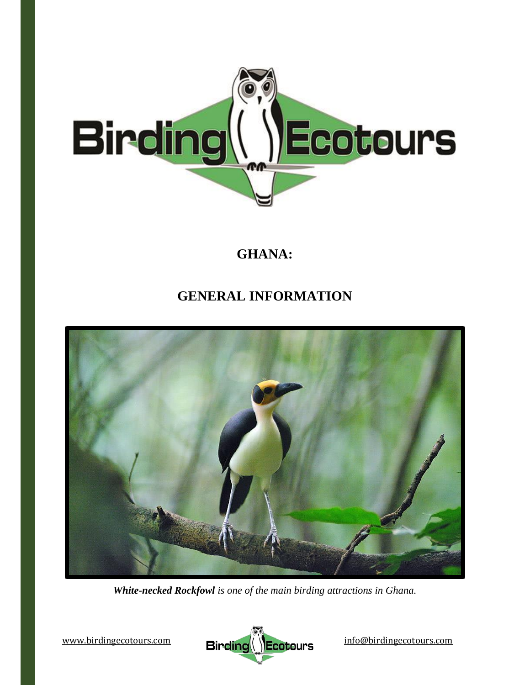

# **GHANA:**

# **GENERAL INFORMATION**



*White-necked Rockfowl is one of the main birding attractions in Ghana.*

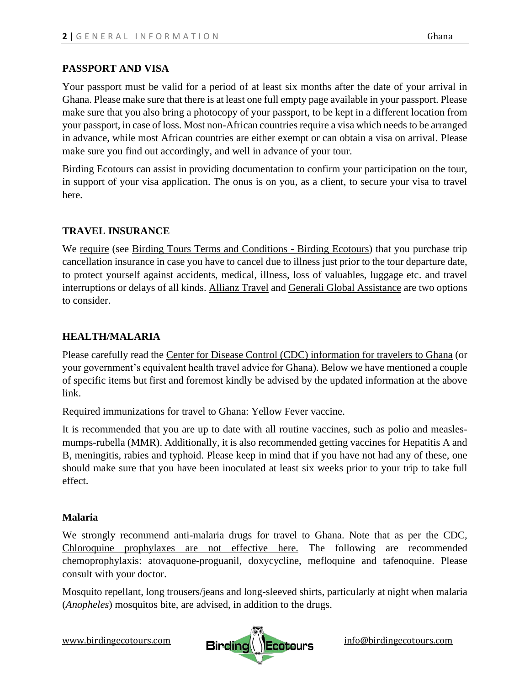## **PASSPORT AND VISA**

Your passport must be valid for a period of at least six months after the date of your arrival in Ghana. Please make sure that there is at least one full empty page available in your passport. Please make sure that you also bring a photocopy of your passport, to be kept in a different location from your passport, in case of loss. Most non-African countries require a visa which needs to be arranged in advance, while most African countries are either exempt or can obtain a visa on arrival. Please make sure you find out accordingly, and well in advance of your tour.

Birding Ecotours can assist in providing documentation to confirm your participation on the tour, in support of your visa application. The onus is on you, as a client, to secure your visa to travel here.

## **TRAVEL INSURANCE**

We require (see [Birding Tours Terms and Conditions -](https://www.birdingecotours.com/about-birding-ecotours/terms-conditions/) Birding Ecotours) that you purchase trip cancellation insurance in case you have to cancel due to illness just prior to the tour departure date, to protect yourself against accidents, medical, illness, loss of valuables, luggage etc. and travel interruptions or delays of all kinds. [Allianz Travel](http://www.allianztravelinsurance.com/) and [Generali Global Assistance](https://shop.generalitravelinsurance.com/csa-travel-protection) are two options to consider.

# **HEALTH/MALARIA**

Please carefully read the [Center for Disease Control \(CDC\) information for travelers to Ghana](https://wwwnc.cdc.gov/travel/destinations/traveler/none/ghana) (or your government's equivalent health travel advice for Ghana). Below we have mentioned a couple of specific items but first and foremost kindly be advised by the updated information at the above link.

Required immunizations for travel to Ghana: Yellow Fever vaccine.

It is recommended that you are up to date with all routine vaccines, such as polio and measlesmumps-rubella (MMR). Additionally, it is also recommended getting vaccines for Hepatitis A and B, meningitis, rabies and typhoid. Please keep in mind that if you have not had any of these, one should make sure that you have been inoculated at least six weeks prior to your trip to take full effect.

## **Malaria**

We strongly recommend anti-malaria drugs for travel to Ghana. [Note that as per the CDC,](https://wwwnc.cdc.gov/travel/yellowbook/2020/preparing-international-travelers/yellow-fever-vaccine-and-malaria-prophylaxis-information-by-country/)  [Chloroquine prophylaxes are not effective here.](https://wwwnc.cdc.gov/travel/yellowbook/2020/preparing-international-travelers/yellow-fever-vaccine-and-malaria-prophylaxis-information-by-country/) The following are recommended chemoprophylaxis: atovaquone-proguanil, doxycycline, mefloquine and tafenoquine. Please consult with your doctor.

Mosquito repellant, long trousers/jeans and long-sleeved shirts, particularly at night when malaria (*Anopheles*) mosquitos bite, are advised, in addition to the drugs.

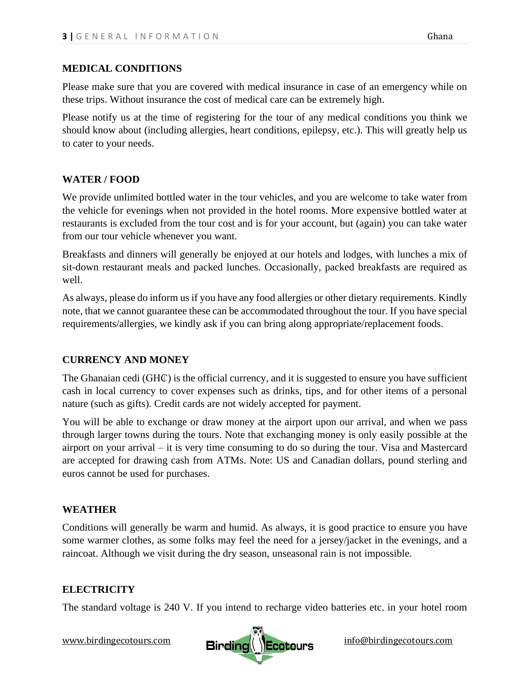### **MEDICAL CONDITIONS**

Please make sure that you are covered with medical insurance in case of an emergency while on these trips. Without insurance the cost of medical care can be extremely high.

Please notify us at the time of registering for the tour of any medical conditions you think we should know about (including allergies, heart conditions, epilepsy, etc.). This will greatly help us to cater to your needs.

## **WATER / FOOD**

We provide unlimited bottled water in the tour vehicles, and you are welcome to take water from the vehicle for evenings when not provided in the hotel rooms. More expensive bottled water at restaurants is excluded from the tour cost and is for your account, but (again) you can take water from our tour vehicle whenever you want.

Breakfasts and dinners will generally be enjoyed at our hotels and lodges, with lunches a mix of sit-down restaurant meals and packed lunches. Occasionally, packed breakfasts are required as well.

As always, please do inform us if you have any food allergies or other dietary requirements. Kindly note, that we cannot guarantee these can be accommodated throughout the tour. If you have special requirements/allergies, we kindly ask if you can bring along appropriate/replacement foods.

## **CURRENCY AND MONEY**

The Ghanaian cedi (GH $\mathbb O$ ) is the official currency, and it is suggested to ensure you have sufficient cash in local currency to cover expenses such as drinks, tips, and for other items of a personal nature (such as gifts). Credit cards are not widely accepted for payment.

You will be able to exchange or draw money at the airport upon our arrival, and when we pass through larger towns during the tours. Note that exchanging money is only easily possible at the airport on your arrival – it is very time consuming to do so during the tour. Visa and Mastercard are accepted for drawing cash from ATMs. Note: US and Canadian dollars, pound sterling and euros cannot be used for purchases.

#### **WEATHER**

Conditions will generally be warm and humid. As always, it is good practice to ensure you have some warmer clothes, as some folks may feel the need for a jersey/jacket in the evenings, and a raincoat. Although we visit during the dry season, unseasonal rain is not impossible.

## **ELECTRICITY**

The standard voltage is 240 V. If you intend to recharge video batteries etc. in your hotel room

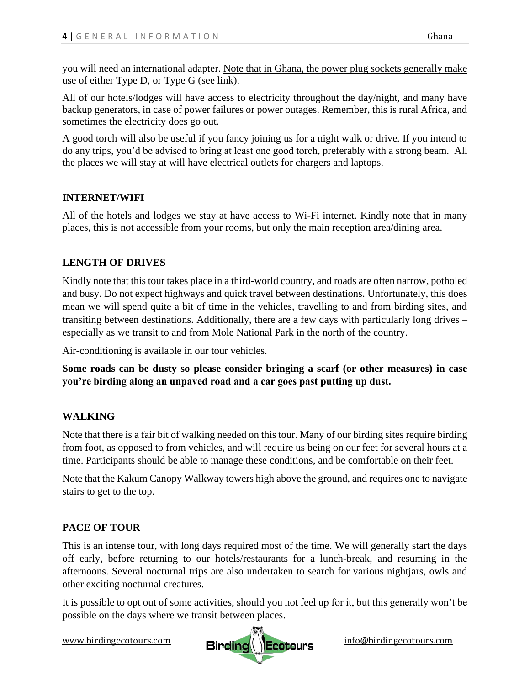you will need an international adapter. [Note that in Ghana, the power plug sockets generally make](https://www.power-plugs-sockets.com/ghana/)  [use of either Type D, or Type G](https://www.power-plugs-sockets.com/ghana/) (see link).

All of our hotels/lodges will have access to electricity throughout the day/night, and many have backup generators, in case of power failures or power outages. Remember, this is rural Africa, and sometimes the electricity does go out.

A good torch will also be useful if you fancy joining us for a night walk or drive. If you intend to do any trips, you'd be advised to bring at least one good torch, preferably with a strong beam. All the places we will stay at will have electrical outlets for chargers and laptops.

## **INTERNET/WIFI**

All of the hotels and lodges we stay at have access to Wi-Fi internet. Kindly note that in many places, this is not accessible from your rooms, but only the main reception area/dining area.

# **LENGTH OF DRIVES**

Kindly note that this tour takes place in a third-world country, and roads are often narrow, potholed and busy. Do not expect highways and quick travel between destinations. Unfortunately, this does mean we will spend quite a bit of time in the vehicles, travelling to and from birding sites, and transiting between destinations. Additionally, there are a few days with particularly long drives – especially as we transit to and from Mole National Park in the north of the country.

Air-conditioning is available in our tour vehicles.

**Some roads can be dusty so please consider bringing a scarf (or other measures) in case you're birding along an unpaved road and a car goes past putting up dust.** 

## **WALKING**

Note that there is a fair bit of walking needed on this tour. Many of our birding sites require birding from foot, as opposed to from vehicles, and will require us being on our feet for several hours at a time. Participants should be able to manage these conditions, and be comfortable on their feet.

Note that the Kakum Canopy Walkway towers high above the ground, and requires one to navigate stairs to get to the top.

## **PACE OF TOUR**

This is an intense tour, with long days required most of the time. We will generally start the days off early, before returning to our hotels/restaurants for a lunch-break, and resuming in the afternoons. Several nocturnal trips are also undertaken to search for various nightjars, owls and other exciting nocturnal creatures.

It is possible to opt out of some activities, should you not feel up for it, but this generally won't be possible on the days where we transit between places.